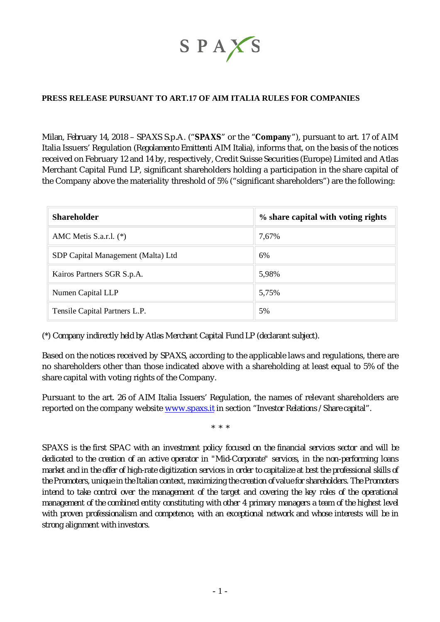

## **PRESS RELEASE PURSUANT TO ART.17 OF AIM ITALIA RULES FOR COMPANIES**

*Milan, February 14, 2018* – SPAXS S.p.A. ("**SPAXS**" or the "**Company**"), pursuant to art. 17 of AIM Italia Issuers' Regulation (*Regolamento Emittenti AIM Italia*), informs that, on the basis of the notices received on February 12 and 14 by, respectively, Credit Suisse Securities (Europe) Limited and Atlas Merchant Capital Fund LP, significant shareholders holding a participation in the share capital of the Company above the materiality threshold of 5% ("significant shareholders") are the following:

| <b>Shareholder</b>                 | % share capital with voting rights |
|------------------------------------|------------------------------------|
| AMC Metis S.a.r.l. $(*)$           | 7,67%                              |
| SDP Capital Management (Malta) Ltd | 6%                                 |
| Kairos Partners SGR S.p.A.         | 5,98%                              |
| Numen Capital LLP                  | 5,75%                              |
| Tensile Capital Partners L.P.      | 5%                                 |

(\*) *Company indirectly held by Atlas Merchant Capital Fund LP (declarant subject).*

Based on the notices received by SPAXS, according to the applicable laws and regulations, there are no shareholders other than those indicated above with a shareholding at least equal to 5% of the share capital with voting rights of the Company.

Pursuant to the art. 26 of AIM Italia Issuers' Regulation, the names of relevant shareholders are reported on the company website [www.spaxs.it](http://www.spaxs.it) in section "*Investor Relations / Share capital*".

\* \* \*

*SPAXS is the first SPAC with an investment policy focused on the financial services sector and will be dedicated to the creation of an active operator in "Mid-Corporate" services, in the non-performing loans market and in the offer of high-rate digitization services in order to capitalize at best the professional skills of the Promoters, unique in the Italian context, maximizing the creation of value for shareholders. The Promoters intend to take control over the management of the target and covering the key roles of the operational management of the combined entity constituting with other 4 primary managers a team of the highest level with proven professionalism and competence, with an exceptional network and whose interests will be in strong alignment with investors.*